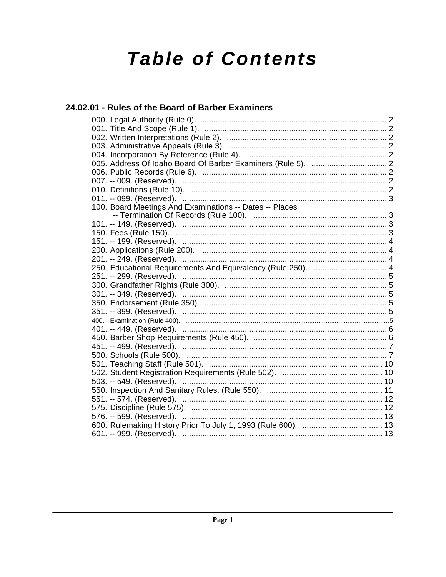# **Table of Contents**

# 24.02.01 - Rules of the Board of Barber Examiners

| 100. Board Meetings And Examinations -- Dates -- Places      |  |
|--------------------------------------------------------------|--|
|                                                              |  |
|                                                              |  |
|                                                              |  |
|                                                              |  |
|                                                              |  |
|                                                              |  |
| 250. Educational Requirements And Equivalency (Rule 250).  4 |  |
| 251. -- 299. (Reserved). ……………………………………………………………………………………5   |  |
|                                                              |  |
|                                                              |  |
|                                                              |  |
|                                                              |  |
|                                                              |  |
|                                                              |  |
|                                                              |  |
|                                                              |  |
|                                                              |  |
|                                                              |  |
| 503. -- 549. (Reserved). …………………………………………………………………………… 10    |  |
|                                                              |  |
| 551. -- 574. (Reserved). …………………………………………………………………………… 12    |  |
|                                                              |  |
|                                                              |  |
|                                                              |  |
|                                                              |  |
|                                                              |  |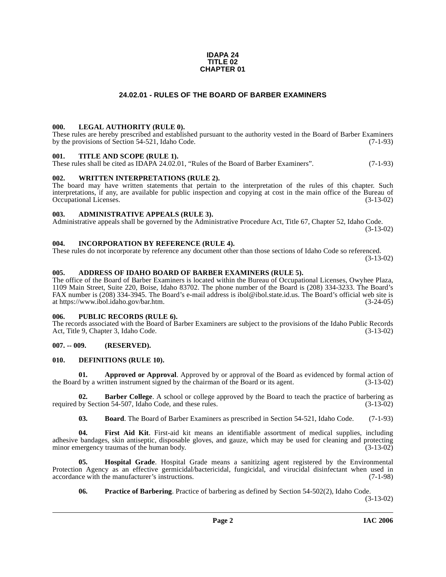#### **IDAPA 24 TITLE 02 CHAPTER 01**

# **24.02.01 - RULES OF THE BOARD OF BARBER EXAMINERS**

# <span id="page-1-1"></span><span id="page-1-0"></span>**000. LEGAL AUTHORITY (RULE 0).**

These rules are hereby prescribed and established pursuant to the authority vested in the Board of Barber Examiners by the provisions of Section 54-521, Idaho Code. (7-1-93)

# <span id="page-1-2"></span>**001. TITLE AND SCOPE (RULE 1).**

These rules shall be cited as IDAPA 24.02.01, "Rules of the Board of Barber Examiners". (7-1-93)

# <span id="page-1-3"></span>**002. WRITTEN INTERPRETATIONS (RULE 2).**

The board may have written statements that pertain to the interpretation of the rules of this chapter. Such interpretations, if any, are available for public inspection and copying at cost in the main office of the Bureau of Occupational Licenses. (3-13-02) Occupational Licenses.

# <span id="page-1-4"></span>**003. ADMINISTRATIVE APPEALS (RULE 3).**

Administrative appeals shall be governed by the Administrative Procedure Act, Title 67, Chapter 52, Idaho Code. (3-13-02)

# <span id="page-1-5"></span>**004. INCORPORATION BY REFERENCE (RULE 4).**

These rules do not incorporate by reference any document other than those sections of Idaho Code so referenced. (3-13-02)

# <span id="page-1-10"></span><span id="page-1-6"></span>**005. ADDRESS OF IDAHO BOARD OF BARBER EXAMINERS (RULE 5).**

[The office of the Board of Barber Examiners is located within the Bureau of Occupational Licenses, Owyhee Plaza,](https://www.ibol.idaho.gov/bar.htm) 1109 Main Street, Suite 220, Boise, Idaho 83702. The phone number of the Board is (208) 334-3233. The Board's FAX number is (208) 334-3945. The Board's e-mail address is ibol@ibol.state.id.us. The Board's official web site is at https://www.ibol.idaho.gov/bar.htm. (3-24-05)

# <span id="page-1-7"></span>**006. PUBLIC RECORDS (RULE 6).**

The records associated with the Board of Barber Examiners are subject to the provisions of the Idaho Public Records<br>Act. Title 9. Chapter 3. Idaho Code. (3-13-02) Act, Title 9, Chapter 3, Idaho Code.

# <span id="page-1-8"></span>**007. -- 009. (RESERVED).**

# <span id="page-1-12"></span><span id="page-1-9"></span>**010. DEFINITIONS (RULE 10).**

**01. Approved or Approval**. Approved by or approval of the Board as evidenced by formal action of the Board by a written instrument signed by the chairman of the Board or its agent. (3-13-02)

**Barber College**. A school or college approved by the Board to teach the practice of barbering as on 54-507, Idaho Code, and these rules. (3-13-02) required by Section 54-507, Idaho Code, and these rules.

<span id="page-1-13"></span><span id="page-1-11"></span>**03. Board**. The Board of Barber Examiners as prescribed in Section 54-521, Idaho Code. (7-1-93)

**04. First Aid Kit**. First-aid kit means an identifiable assortment of medical supplies, including adhesive bandages, skin antiseptic, disposable gloves, and gauze, which may be used for cleaning and protecting minor emergency traumas of the human body. (3-13-02) minor emergency traumas of the human body.

**05. Hospital Grade**. Hospital Grade means a sanitizing agent registered by the Environmental Protection Agency as an effective germicidal/bactericidal, fungicidal, and virucidal disinfectant when used in accordance with the manufacturer's instructions. (7-1-98) accordance with the manufacturer's instructions.

<span id="page-1-15"></span><span id="page-1-14"></span>**06.** Practice of Barbering. Practice of barbering as defined by Section 54-502(2), Idaho Code.

(3-13-02)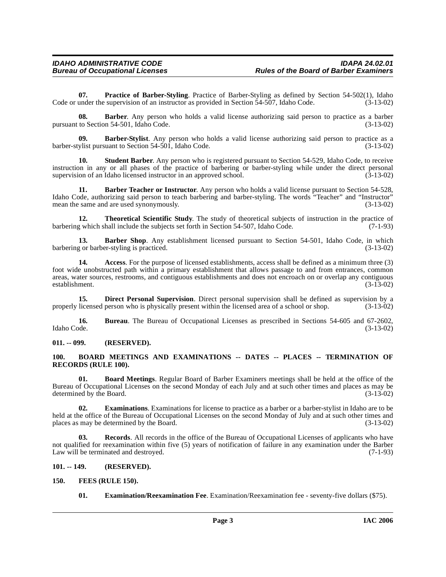**07. Practice of Barber-Styling**. Practice of Barber-Styling as defined by Section 54-502(1), Idaho under the supervision of an instructor as provided in Section 54-507, Idaho Code. (3-13-02) Code or under the supervision of an instructor as provided in Section 54-507, Idaho Code.

**08. Barber**. Any person who holds a valid license authorizing said person to practice as a barber pursuant to Section 54-501, Idaho Code. (3-13-02)

**09. Barber-Stylist**. Any person who holds a valid license authorizing said person to practice as a barber-stylist pursuant to Section 54-501, Idaho Code.

**10. Student Barber**. Any person who is registered pursuant to Section 54-529, Idaho Code, to receive instruction in any or all phases of the practice of barbering or barber-styling while under the direct personal supervision of an Idaho licensed instructor in an approved school. (3-13-02) supervision of an Idaho licensed instructor in an approved school.

<span id="page-2-6"></span>**11. Barber Teacher or Instructor**. Any person who holds a valid license pursuant to Section 54-528, Idaho Code, authorizing said person to teach barbering and barber-styling. The words "Teacher" and "Instructor" mean the same and are used synonymously. (3-13-02) mean the same and are used synonymously.

<span id="page-2-14"></span>**12. Theoretical Scientific Study**. The study of theoretical subjects of instruction in the practice of <br>**12.** Theoretical subjects set forth in Section 54-507. Idaho Code. (7-1-93) barbering which shall include the subjects set forth in Section 54-507, Idaho Code.

<span id="page-2-5"></span>**13. Barber Shop**. Any establishment licensed pursuant to Section 54-501, Idaho Code, in which g or barber-styling is practiced. barbering or barber-styling is practiced.

<span id="page-2-4"></span>**14. Access**. For the purpose of licensed establishments, access shall be defined as a minimum three (3) foot wide unobstructed path within a primary establishment that allows passage to and from entrances, common areas, water sources, restrooms, and contiguous establishments and does not encroach on or overlap any contiguous establishment. (3-13-02) establishment.

<span id="page-2-9"></span>**15. Direct Personal Supervision**. Direct personal supervision shall be defined as supervision by a licensed person who is physically present within the licensed area of a school or shop.  $(3-13-02)$ properly licensed person who is physically present within the licensed area of a school or shop.

**16.** Bureau. The Bureau of Occupational Licenses as prescribed in Sections 54-605 and 67-2602, Idaho Code. (3-13-02) Idaho Code. (3-13-02)

<span id="page-2-0"></span>**011. -- 099. (RESERVED).**

# <span id="page-2-8"></span><span id="page-2-1"></span>**100. BOARD MEETINGS AND EXAMINATIONS -- DATES -- PLACES -- TERMINATION OF RECORDS (RULE 100).**

<span id="page-2-7"></span>**01. Board Meetings**. Regular Board of Barber Examiners meetings shall be held at the office of the Bureau of Occupational Licenses on the second Monday of each July and at such other times and places as may be determined by the Board. (3-13-02)

<span id="page-2-11"></span>**02. Examinations**. Examinations for license to practice as a barber or a barber-stylist in Idaho are to be held at the office of the Bureau of Occupational Licenses on the second Monday of July and at such other times and places as may be determined by the Board. (3-13-02)

<span id="page-2-13"></span>**03. Records**. All records in the office of the Bureau of Occupational Licenses of applicants who have not qualified for reexamination within five (5) years of notification of failure in any examination under the Barber<br>Law will be terminated and destroyed. (7-1-93) Law will be terminated and destroyed.

# <span id="page-2-2"></span>**101. -- 149. (RESERVED).**

# <span id="page-2-3"></span>**150. FEES (RULE 150).**

<span id="page-2-12"></span><span id="page-2-10"></span>**01. Examination/Reexamination Fee**. Examination/Reexamination fee - seventy-five dollars (\$75).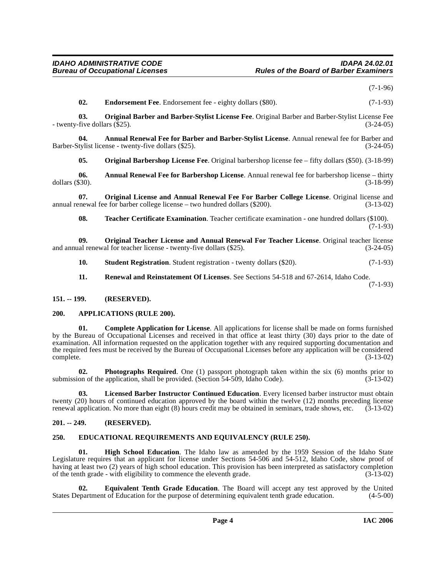(7-1-96)

<span id="page-3-13"></span><span id="page-3-9"></span>**02. Endorsement Fee**. Endorsement fee - eighty dollars (\$80). (7-1-93)

**03. Original Barber and Barber-Stylist License Fee**. Original Barber and Barber-Stylist License Fee - twenty-five dollars (\$25). (3-24-05)

**04.** Annual Renewal Fee for Barber and Barber-Stylist License. Annual renewal fee for Barber and tylist license - twenty-five dollars (\$25). Barber-Stylist license - twenty-five dollars (\$25).

<span id="page-3-14"></span><span id="page-3-5"></span><span id="page-3-4"></span>**05. Original Barbershop License Fee**. Original barbershop license fee – fifty dollars (\$50). (3-18-99)

**06. Annual Renewal Fee for Barbershop License**. Annual renewal fee for barbershop license – thirty dollars (\$30). (3-18-99)

**07. Original License and Annual Renewal Fee For Barber College License**. Original license and enewal fee for barber college license – two hundred dollars (\$200). (3-13-02) annual renewal fee for barber college license – two hundred dollars  $(\$200)$ .

<span id="page-3-20"></span><span id="page-3-16"></span><span id="page-3-15"></span>**08. Teacher Certificate Examination**. Teacher certificate examination - one hundred dollars (\$100).  $(7-1-93)$ 

**09.** Original Teacher License and Annual Renewal For Teacher License. Original teacher license all renewal for teacher license - twenty-five dollars (\$25). and annual renewal for teacher license - twenty-five dollars  $(\$25)$ .

<span id="page-3-19"></span>**10. Student Registration**. Student registration - twenty dollars (\$20). (7-1-93)

<span id="page-3-18"></span><span id="page-3-7"></span>**11. Renewal and Reinstatement Of Licenses**. See Sections 54-518 and 67-2614, Idaho Code. (7-1-93)

<span id="page-3-0"></span>**151. -- 199. (RESERVED).**

# <span id="page-3-6"></span><span id="page-3-1"></span>**200. APPLICATIONS (RULE 200).**

**01. Complete Application for License**. All applications for license shall be made on forms furnished by the Bureau of Occupational Licenses and received in that office at least thirty (30) days prior to the date of examination. All information requested on the application together with any required supporting documentation and the required fees must be received by the Bureau of Occupational Licenses before any application will be considered complete. (3-13-02) complete. (3-13-02)

<span id="page-3-17"></span>**02. Photographs Required**. One (1) passport photograph taken within the six (6) months prior to submission of the application, shall be provided. (Section  $54-509$ , Idaho Code). (3-13-02)

<span id="page-3-12"></span>**03. Licensed Barber Instructor Continued Education**. Every licensed barber instructor must obtain twenty (20) hours of continued education approved by the board within the twelve (12) months preceding license<br>renewal application. No more than eight (8) hours credit may be obtained in seminars, trade shows, etc. (3-13-0 renewal application. No more than eight (8) hours credit may be obtained in seminars, trade shows, etc.

# <span id="page-3-2"></span>**201. -- 249. (RESERVED).**

# <span id="page-3-8"></span><span id="page-3-3"></span>**250. EDUCATIONAL REQUIREMENTS AND EQUIVALENCY (RULE 250).**

<span id="page-3-11"></span>**01. High School Education**. The Idaho law as amended by the 1959 Session of the Idaho State Legislature requires that an applicant for license under Sections 54-506 and 54-512, Idaho Code, show proof of having at least two (2) years of high school education. This provision has been interpreted as satisfactory completion<br>of the tenth grade - with eligibility to commence the eleventh grade. (3-13-02) of the tenth grade - with eligibility to commence the eleventh grade.

<span id="page-3-10"></span>**Equivalent Tenth Grade Education**. The Board will accept any test approved by the United tof Education for the purpose of determining equivalent tenth grade education. (4-5-00) States Department of Education for the purpose of determining equivalent tenth grade education.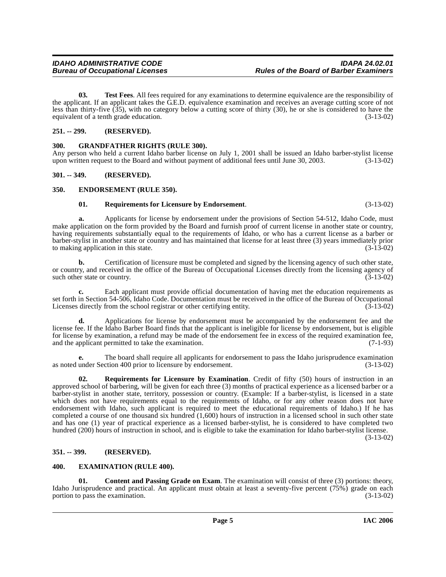# barber-stylist in another state or country and has maintained that license for at least three (3) years immediately prior to making application in this state. **b.** Certification of licensure must be completed and signed by the licensing agency of such other state, or country, and received in the office of the Bureau of Occupational Licenses directly from the licensing agency of such other state or country. (3-13-02) such other state or country.

make application on the form provided by the Board and furnish proof of current license in another state or country, having requirements substantially equal to the requirements of Idaho, or who has a current license as a barber or

**a.** Applicants for license by endorsement under the provisions of Section 54-512, Idaho Code, must

<span id="page-4-12"></span>**03. Test Fees**. All fees required for any examinations to determine equivalence are the responsibility of

the applicant. If an applicant takes the G.E.D. equivalence examination and receives an average cutting score of not less than thirty-five (35), with no category below a cutting score of thirty (30), he or she is considered to have the equivalent of a tenth grade education. (3-13-02)

Any person who held a current Idaho barber license on July 1, 2001 shall be issued an Idaho barber-stylist license<br>upon written request to the Board and without payment of additional fees until June 30, 2003. (3-13-02)

upon written request to the Board and without payment of additional fees until June 30, 2003.

**c.** Each applicant must provide official documentation of having met the education requirements as set forth in Section 54-506, Idaho Code. Documentation must be received in the office of the Bureau of Occupational<br>Licenses directly from the school registrar or other certifying entity. (3-13-02) Licenses directly from the school registrar or other certifying entity.

**d.** Applications for license by endorsement must be accompanied by the endorsement fee and the license fee. If the Idaho Barber Board finds that the applicant is ineligible for license by endorsement, but is eligible for license by examination, a refund may be made of the endorsement fee in excess of the required examination fee, and the applicant permitted to take the examination. (7-1-93) and the applicant permitted to take the examination.

**e.** The board shall require all applicants for endorsement to pass the Idaho jurisprudence examination as noted under Section 400 prior to licensure by endorsement. (3-13-02)

<span id="page-4-11"></span>**02. Requirements for Licensure by Examination**. Credit of fifty (50) hours of instruction in an approved school of barbering, will be given for each three (3) months of practical experience as a licensed barber or a barber-stylist in another state, territory, possession or country. (Example: If a barber-stylist, is licensed in a state which does not have requirements equal to the requirements of Idaho, or for any other reason does not have endorsement with Idaho, such applicant is required to meet the educational requirements of Idaho.) If he has completed a course of one thousand six hundred (1,600) hours of instruction in a licensed school in such other state and has one (1) year of practical experience as a licensed barber-stylist, he is considered to have completed two hundred (200) hours of instruction in school, and is eligible to take the examination for Idaho barber-stylist license.

(3-13-02)

# <span id="page-4-4"></span>**351. -- 399. (RESERVED).**

# <span id="page-4-8"></span><span id="page-4-5"></span>**400. EXAMINATION (RULE 400).**

<span id="page-4-6"></span>**01.** Content and Passing Grade on Exam. The examination will consist of three (3) portions: theory, Idaho Jurisprudence and practical. An applicant must obtain at least a seventy-five percent (75%) grade on each portion to pass the examination. (3-13-02) portion to pass the examination.

<span id="page-4-0"></span>**251. -- 299. (RESERVED).**

<span id="page-4-2"></span>**301. -- 349. (RESERVED).**

<span id="page-4-3"></span>**350. ENDORSEMENT (RULE 350).**

<span id="page-4-9"></span><span id="page-4-1"></span>**300. GRANDFATHER RIGHTS (RULE 300).**

<span id="page-4-10"></span><span id="page-4-7"></span>**01. Requirements for Licensure by Endorsement**. (3-13-02)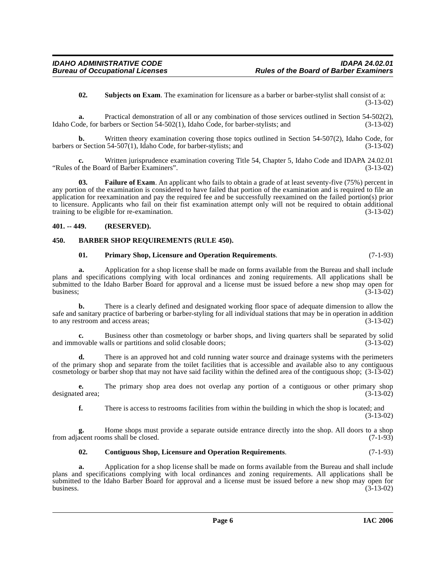<span id="page-5-6"></span>**02. Subjects on Exam**. The examination for licensure as a barber or barber-stylist shall consist of a: (3-13-02)

**a.** Practical demonstration of all or any combination of those services outlined in Section 54-502(2), Idaho Code, for barbers or Section 54-502(1), Idaho Code, for barber-stylists; and (3-13-02)

**b.** Written theory examination covering those topics outlined in Section 54-507(2), Idaho Code, for barbers or Section 54-507(1), Idaho Code, for barber-stylists; and (3-13-02)

**c.** Written jurisprudence examination covering Title 54, Chapter 5, Idaho Code and IDAPA 24.02.01 f the Board of Barber Examiners". "Rules of the Board of Barber Examiners".

<span id="page-5-4"></span>**03. Failure of Exam**. An applicant who fails to obtain a grade of at least seventy-five (75%) percent in any portion of the examination is considered to have failed that portion of the examination and is required to file an application for reexamination and pay the required fee and be successfully reexamined on the failed portion(s) prior to licensure. Applicants who fail on their fist examination attempt only will not be required to obtain additional training to be eligible for re-examination. (3-13-02) training to be eligible for re-examination.

# <span id="page-5-0"></span>**401. -- 449. (RESERVED).**

# <span id="page-5-1"></span>**450. BARBER SHOP REQUIREMENTS (RULE 450).**

# <span id="page-5-5"></span><span id="page-5-2"></span>**01. Primary Shop, Licensure and Operation Requirements**. (7-1-93)

**a.** Application for a shop license shall be made on forms available from the Bureau and shall include plans and specifications complying with local ordinances and zoning requirements. All applications shall be submitted to the Idaho Barber Board for approval and a license must be issued before a new shop may open for business;  $(3-13-02)$ 

**b.** There is a clearly defined and designated working floor space of adequate dimension to allow the safe and sanitary practice of barbering or barber-styling for all individual stations that may be in operation in addition to any restroom and access areas; (3-13-02)

**c.** Business other than cosmetology or barber shops, and living quarters shall be separated by solid ovable walls or partitions and solid closable doors; (3-13-02) and immovable walls or partitions and solid closable doors;

**d.** There is an approved hot and cold running water source and drainage systems with the perimeters of the primary shop and separate from the toilet facilities that is accessible and available also to any contiguous cosmetology or barber shop that may not have said facility within the defined area of the contiguous shop; (3-13-02)

**e.** The primary shop area does not overlap any portion of a contiguous or other primary shop designated area; (3-13-02)

**f.** There is access to restrooms facilities from within the building in which the shop is located; and (3-13-02)

**g.** Home shops must provide a separate outside entrance directly into the shop. All doors to a shop from adjacent rooms shall be closed. (7-1-93)

# <span id="page-5-3"></span>**02. Contiguous Shop, Licensure and Operation Requirements**. (7-1-93)

**a.** Application for a shop license shall be made on forms available from the Bureau and shall include plans and specifications complying with local ordinances and zoning requirements. All applications shall be submitted to the Idaho Barber Board for approval and a license must be issued before a new shop may open for business. (3-13-02) business.  $(3-13-02)$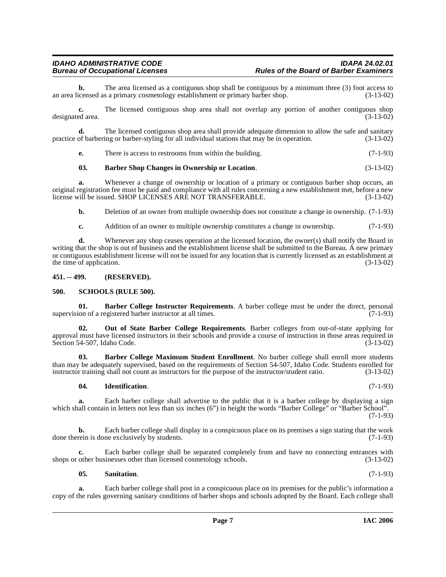**b.** The area licensed as a contiguous shop shall be contiguous by a minimum three (3) foot access to censed as a primary cosmetology establishment or primary barber shop.  $(3-13-02)$ an area licensed as a primary cosmetology establishment or primary barber shop.

**c.** The licensed contiguous shop area shall not overlap any portion of another contiguous shop designated area. (3-13-02)

**d.** The licensed contiguous shop area shall provide adequate dimension to allow the safe and sanitary of barbering or barber-styling for all individual stations that may be in operation. (3-13-02) practice of barbering or barber-styling for all individual stations that may be in operation.

**e.** There is access to restrooms from within the building. (7-1-93)

# <span id="page-6-4"></span>**03. Barber Shop Changes in Ownership or Location**. (3-13-02)

**a.** Whenever a change of ownership or location of a primary or contiguous barber shop occurs, an original registration fee must be paid and compliance with all rules concerning a new establishment met, before a new license will be issued. SHOP LICENSES ARE NOT TRANSFERABLE. (3-13-02)

**b.** Deletion of an owner from multiple ownership does not constitute a change in ownership.  $(7-1-93)$ 

**c.** Addition of an owner to multiple ownership constitutes a change in ownership. (7-1-93)

**d.** Whenever any shop ceases operation at the licensed location, the owner(s) shall notify the Board in writing that the shop is out of business and the establishment license shall be submitted to the Bureau. A new primary or contiguous establishment license will not be issued for any location that is currently licensed as an establishment at the time of application.  $(3-13-02)$ 

# <span id="page-6-0"></span>**451. -- 499. (RESERVED).**

# <span id="page-6-8"></span><span id="page-6-1"></span>**500. SCHOOLS (RULE 500).**

<span id="page-6-2"></span>**01. Barber College Instructor Requirements**. A barber college must be under the direct, personal supervision of a registered barber instructor at all times. (7-1-93)

<span id="page-6-6"></span>**02. Out of State Barber College Requirements**. Barber colleges from out-of-state applying for approval must have licensed instructors in their schools and provide a course of instruction in those areas required in Section 54-507, Idaho Code. (3-13-02) Section 54-507, Idaho Code.

**03. Barber College Maximum Student Enrollment**. No barber college shall enroll more students than may be adequately supervised, based on the requirements of Section 54-507, Idaho Code. Students enrolled for instructor training shall not count as instructors for the purpose of the instructor/student ratio. (3-13-02 instructor training shall not count as instructors for the purpose of the instructor/student ratio.

# <span id="page-6-5"></span><span id="page-6-3"></span>**04. Identification**. (7-1-93)

**a.** Each barber college shall advertise to the public that it is a barber college by displaying a sign which shall contain in letters not less than six inches (6") in height the words "Barber College" or "Barber School". (7-1-93)

**b.** Each barber college shall display in a conspicuous place on its premises a sign stating that the work done therein is done exclusively by students. (7-1-93)

**c.** Each barber college shall be separated completely from and have no connecting entrances with shops or other businesses other than licensed cosmetology schools. (3-13-02)

<span id="page-6-7"></span>**05. Sanitation**. (7-1-93)

**a.** Each barber college shall post in a conspicuous place on its premises for the public's information a copy of the rules governing sanitary conditions of barber shops and schools adopted by the Board. Each college shall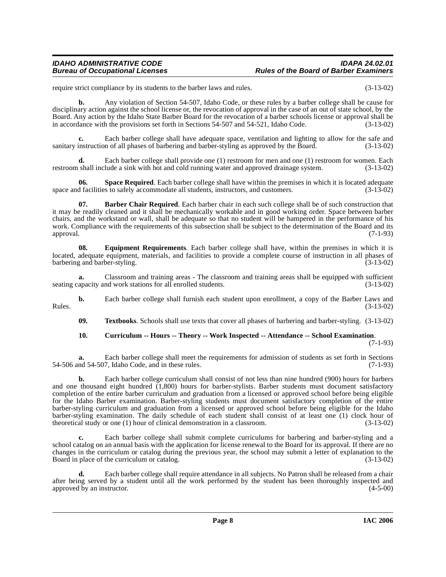# **IDAHO ADMINISTRATIVE CODE IDAPA 24.02.01 Rules of the Board of Barber Examiners**

require strict compliance by its students to the barber laws and rules. (3-13-02)

**b.** Any violation of Section 54-507, Idaho Code, or these rules by a barber college shall be cause for disciplinary action against the school license or, the revocation of approval in the case of an out of state school, by the Board. Any action by the Idaho State Barber Board for the revocation of a barber schools license or approval shall be in accordance with the provisions set forth in Sections 54-507 and 54-521, Idaho Code. (3-13-02)

**c.** Each barber college shall have adequate space, ventilation and lighting to allow for the safe and sanitary instruction of all phases of barbering and barber-styling as approved by the Board. (3-13-02)

**d.** Each barber college shall provide one (1) restroom for men and one (1) restroom for women. Each restroom shall include a sink with hot and cold running water and approved drainage system. (3-13-02)

<span id="page-7-3"></span>**06.** Space Required. Each barber college shall have within the premises in which it is located adequate space and facilities to safely accommodate all students, instructors, and customers. (3-13-02)

<span id="page-7-0"></span>**07. Barber Chair Required**. Each barber chair in each such college shall be of such construction that it may be readily cleaned and it shall be mechanically workable and in good working order. Space between barber chairs, and the workstand or wall, shall be adequate so that no student will be hampered in the performance of his work. Compliance with the requirements of this subsection shall be subject to the determination of the Board and its approval. (7-1-93) approval. (7-1-93)

<span id="page-7-2"></span>**08. Equipment Requirements**. Each barber college shall have, within the premises in which it is located, adequate equipment, materials, and facilities to provide a complete course of instruction in all phases of barbering and barber-styling. (3-13-02)

**a.** Classroom and training areas - The classroom and training areas shall be equipped with sufficient seating capacity and work stations for all enrolled students. (3-13-02)

**b.** Each barber college shall furnish each student upon enrollment, a copy of the Barber Laws and (3-13-02) Rules. (3-13-02)

<span id="page-7-4"></span>**09. Textbooks**. Schools shall use texts that cover all phases of barbering and barber-styling. (3-13-02)

# <span id="page-7-1"></span>**10. Curriculum -- Hours -- Theory -- Work Inspected -- Attendance -- School Examination**.

(7-1-93)

**a.** Each barber college shall meet the requirements for admission of students as set forth in Sections 54-506 and 54-507, Idaho Code, and in these rules. (7-1-93)

**b.** Each barber college curriculum shall consist of not less than nine hundred (900) hours for barbers and one thousand eight hundred (1,800) hours for barber-stylists. Barber students must document satisfactory completion of the entire barber curriculum and graduation from a licensed or approved school before being eligible for the Idaho Barber examination. Barber-styling students must document satisfactory completion of the entire barber-styling curriculum and graduation from a licensed or approved school before being eligible for the Idaho barber-styling examination. The daily schedule of each student shall consist of at least one (1) clock hour of theoretical study or one (1) hour of clinical demonstration in a classroom. (3-13-02)

**c.** Each barber college shall submit complete curriculums for barbering and barber-styling and a school catalog on an annual basis with the application for license renewal to the Board for its approval. If there are no changes in the curriculum or catalog during the previous year, the school may submit a letter of explanation to the Board in place of the curriculum or catalog. (3-13-02)

**d.** Each barber college shall require attendance in all subjects. No Patron shall be released from a chair after being served by a student until all the work performed by the student has been thoroughly inspected and approved by an instructor. (4-5-00) approved by an instructor.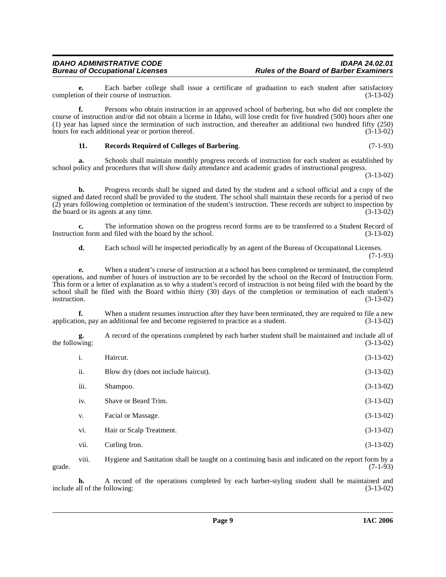**e.** Each barber college shall issue a certificate of graduation to each student after satisfactory on of their course of instruction. (3-13-02) completion of their course of instruction.

**f.** Persons who obtain instruction in an approved school of barbering, but who did not complete the course of instruction and/or did not obtain a license in Idaho, will lose credit for five hundred (500) hours after one (1) year has lapsed since the termination of such instruction, and thereafter an additional two hundred fifty  $(250)$  hours for each additional year or portion thereof.  $(3-13-02)$ hours for each additional year or portion thereof.

# <span id="page-8-0"></span>**11. Records Required of Colleges of Barbering**. (7-1-93)

**a.** Schools shall maintain monthly progress records of instruction for each student as established by school policy and procedures that will show daily attendance and academic grades of instructional progress.

(3-13-02)

**b.** Progress records shall be signed and dated by the student and a school official and a copy of the signed and dated record shall be provided to the student. The school shall maintain these records for a period of two (2) years following completion or termination of the student's instruction. These records are subject to inspection by the board or its agents at any time. the board or its agents at any time.

**c.** The information shown on the progress record forms are to be transferred to a Student Record of on form and filed with the board by the school. (3-13-02) Instruction form and filed with the board by the school.

**d.** Each school will be inspected periodically by an agent of the Bureau of Occupational Licenses.

(7-1-93)

**e.** When a student's course of instruction at a school has been completed or terminated, the completed operations, and number of hours of instruction are to be recorded by the school on the Record of Instruction Form. This form or a letter of explanation as to why a student's record of instruction is not being filed with the board by the school shall be filed with the Board within thirty (30) days of the completion or termination of each student's instruction.  $(3-13-02)$ instruction. (3-13-02)

**f.** When a student resumes instruction after they have been terminated, they are required to file a new on, pay an additional fee and become registered to practice as a student. (3-13-02) application, pay an additional fee and become registered to practice as a student.

**g.** A record of the operations completed by each barber student shall be maintained and include all of wing:  $(3-13-02)$ the following:

| i.   | Haircut.                             | $(3-13-02)$ |
|------|--------------------------------------|-------------|
| ii.  | Blow dry (does not include haircut). | $(3-13-02)$ |
| iii. | Shampoo.                             | $(3-13-02)$ |
| iv.  | Shave or Beard Trim.                 | $(3-13-02)$ |
| V.   | Facial or Massage.                   | $(3-13-02)$ |
| vi.  | Hair or Scalp Treatment.             | $(3-13-02)$ |
| vii. | Curling Iron.                        | $(3-13-02)$ |

viii. Hygiene and Sanitation shall be taught on a continuing basis and indicated on the report form by a grade.  $(7-1-93)$ 

**h.** A record of the operations completed by each barber-styling student shall be maintained and all of the following: (3-13-02) include all of the following: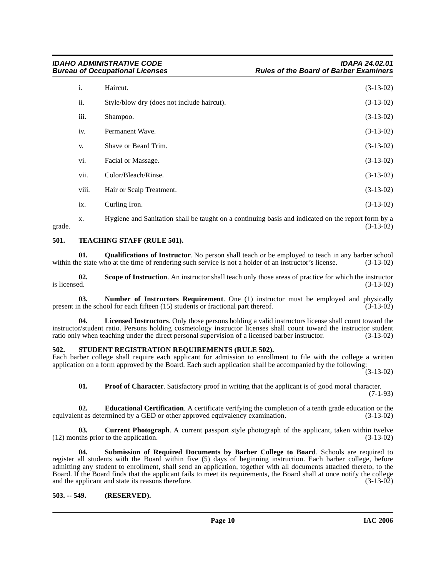| i.    | Haircut.                                   | $(3-13-02)$ |
|-------|--------------------------------------------|-------------|
| ii.   | Style/blow dry (does not include haircut). | $(3-13-02)$ |
| iii.  | Shampoo.                                   | $(3-13-02)$ |
| iv.   | Permanent Wave.                            | $(3-13-02)$ |
| V.    | Shave or Beard Trim.                       | $(3-13-02)$ |
| vi.   | Facial or Massage.                         | $(3-13-02)$ |
| vii.  | Color/Bleach/Rinse.                        | $(3-13-02)$ |
| viii. | Hair or Scalp Treatment.                   | $(3-13-02)$ |
| ix.   | Curling Iron.                              | $(3-13-02)$ |

x. Hygiene and Sanitation shall be taught on a continuing basis and indicated on the report form by a grade.  $(3-13-02)$ 

# <span id="page-9-10"></span><span id="page-9-0"></span>**501. TEACHING STAFF (RULE 501).**

<span id="page-9-7"></span>**01. Qualifications of Instructor**. No person shall teach or be employed to teach in any barber school within the state who at the time of rendering such service is not a holder of an instructor's license. (3-13-02)

**02.** Scope of Instruction. An instructor shall teach only those areas of practice for which the instructor is licensed.  $(3-13-02)$ is licensed.  $(3-13-02)$ 

<span id="page-9-5"></span>**03.** Number of Instructors Requirement. One (1) instructor must be employed and physically in the school for each fifteen (15) students or fractional part thereof. (3-13-02) present in the school for each fifteen  $(15)$  students or fractional part thereof.

**04. Licensed Instructors**. Only those persons holding a valid instructors license shall count toward the instructor/student ratio. Persons holding cosmetology instructor licenses shall count toward the instructor student ratio only when teaching under the direct personal supervision of a licensed barber instructor. (3-13-02) ratio only when teaching under the direct personal supervision of a licensed barber instructor.

# <span id="page-9-8"></span><span id="page-9-1"></span>**502. STUDENT REGISTRATION REQUIREMENTS (RULE 502).**

Each barber college shall require each applicant for admission to enrollment to file with the college a written application on a form approved by the Board. Each such application shall be accompanied by the following:

(3-13-02)

<span id="page-9-6"></span><span id="page-9-4"></span><span id="page-9-3"></span>**01.** Proof of Character. Satisfactory proof in writing that the applicant is of good moral character. (7-1-93)

**02. Educational Certification**. A certificate verifying the completion of a tenth grade education or the nt as determined by a GED or other approved equivalency examination. (3-13-02) equivalent as determined by a GED or other approved equivalency examination.

**03. Current Photograph**. A current passport style photograph of the applicant, taken within twelve (12) months prior to the application. (3-13-02)

<span id="page-9-9"></span>**04. Submission of Required Documents by Barber College to Board**. Schools are required to register all students with the Board within five (5) days of beginning instruction. Each barber college, before admitting any student to enrollment, shall send an application, together with all documents attached thereto, to the Board. If the Board finds that the applicant fails to meet its requirements, the Board shall at once notify the college and the applicant and state its reasons therefore. (3-13-02) and the applicant and state its reasons therefore.

# <span id="page-9-2"></span>**503. -- 549. (RESERVED).**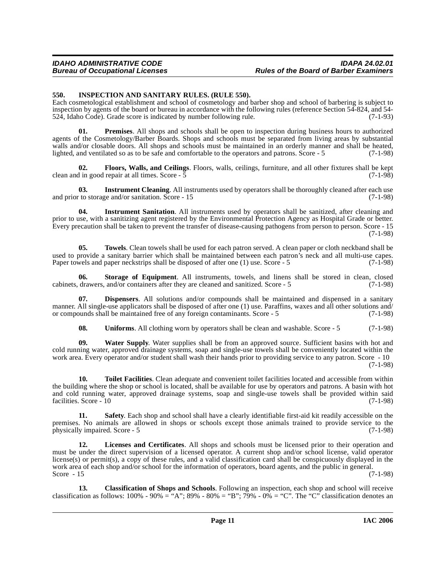# <span id="page-10-1"></span><span id="page-10-0"></span>**550. INSPECTION AND SANITARY RULES. (RULE 550).**

Each cosmetological establishment and school of cosmetology and barber shop and school of barbering is subject to inspection by agents of the board or bureau in accordance with the following rules (reference Section 54-824, and 54- 524, Idaho Code). Grade score is indicated by number following rule. (7-1-93)

<span id="page-10-2"></span>**01. Premises**. All shops and schools shall be open to inspection during business hours to authorized agents of the Cosmetology/Barber Boards. Shops and schools must be separated from living areas by substantial walls and/or closable doors. All shops and schools must be maintained in an orderly manner and shall be heated, lighted, and ventilated so as to be safe and comfortable to the operators and patrons. Score - 5 (7-1-98)

**02.** Floors, Walls, and Ceilings. Floors, walls, ceilings, furniture, and all other fixtures shall be kept in good repair at all times. Score - 5 clean and in good repair at all times. Score  $-5$ 

**03.** Instrument Cleaning. All instruments used by operators shall be thoroughly cleaned after each use to storage and/or sanitation. Score - 15 (7-1-98) and prior to storage and/or sanitation. Score  $-15$ 

**04. Instrument Sanitation**. All instruments used by operators shall be sanitized, after cleaning and prior to use, with a sanitizing agent registered by the Environmental Protection Agency as Hospital Grade or better. Every precaution shall be taken to prevent the transfer of disease-causing pathogens from person to person. Score - 15 (7-1-98)

**05. Towels**. Clean towels shall be used for each patron served. A clean paper or cloth neckband shall be used to provide a sanitary barrier which shall be maintained between each patron's neck and all multi-use capes. Paper towels and paper neckstrips shall be disposed of after one (1) use. Score - 5 (7-1-98)

**06. Storage of Equipment**. All instruments, towels, and linens shall be stored in clean, closed cabinets, drawers, and/or containers after they are cleaned and sanitized. Score - 5 (7-1-98)

**07. Dispensers**. All solutions and/or compounds shall be maintained and dispensed in a sanitary manner. All single-use applicators shall be disposed of after one (1) use. Paraffins, waxes and all other solutions and/ or compounds shall be maintained free of any foreign contaminants. Score - 5 (7-1-98)

**08.** Uniforms. All clothing worn by operators shall be clean and washable. Score - 5 (7-1-98)

**09. Water Supply**. Water supplies shall be from an approved source. Sufficient basins with hot and cold running water, approved drainage systems, soap and single-use towels shall be conveniently located within the work area. Every operator and/or student shall wash their hands prior to providing service to any patron. Score - 10

(7-1-98)

**10. Toilet Facilities**. Clean adequate and convenient toilet facilities located and accessible from within the building where the shop or school is located, shall be available for use by operators and patrons. A basin with hot and cold running water, approved drainage systems, soap and single-use towels shall be provided within said facilities. Score - 10 (7-1-98)

**11. Safety**. Each shop and school shall have a clearly identifiable first-aid kit readily accessible on the premises. No animals are allowed in shops or schools except those animals trained to provide service to the physically impaired. Score - 5 (7-1-98)

**12. Licenses and Certificates**. All shops and schools must be licensed prior to their operation and must be under the direct supervision of a licensed operator. A current shop and/or school license, valid operator license(s) or permit(s), a copy of these rules, and a valid classification card shall be conspicuously displayed in the work area of each shop and/or school for the information of operators, board agents, and the public in general.<br>Score - 15 (7-1-98) Score  $-15$  (7-1-98)

**13. Classification of Shops and Schools**. Following an inspection, each shop and school will receive classification as follows:  $100\% - 90\% = 'A''$ ;  $89\% - 80\% = 'B''$ ;  $79\% - 0\% = 'C''$ . The "C" classification denotes an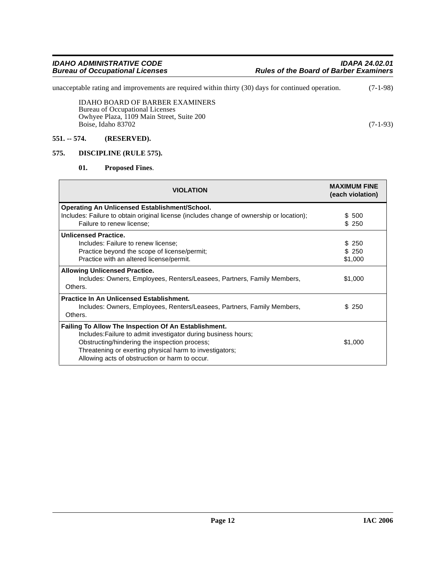unacceptable rating and improvements are required within thirty (30) days for continued operation. (7-1-98)

IDAHO BOARD OF BARBER EXAMINERS Bureau of Occupational Licenses Owhyee Plaza, 1109 Main Street, Suite 200 Boise, Idaho 83702 (7-1-93)

# <span id="page-11-0"></span>**551. -- 574. (RESERVED).**

# <span id="page-11-1"></span>**575. DISCIPLINE (RULE 575).**

# <span id="page-11-3"></span><span id="page-11-2"></span>**01. Proposed Fines**.

| <b>VIOLATION</b>                                                                                                                                                                                                                                                                     | <b>MAXIMUM FINE</b><br>(each violation) |
|--------------------------------------------------------------------------------------------------------------------------------------------------------------------------------------------------------------------------------------------------------------------------------------|-----------------------------------------|
| <b>Operating An Unlicensed Establishment/School.</b>                                                                                                                                                                                                                                 |                                         |
| Includes: Failure to obtain original license (includes change of ownership or location);                                                                                                                                                                                             | \$ 500                                  |
| Failure to renew license;                                                                                                                                                                                                                                                            | \$250                                   |
| <b>Unlicensed Practice.</b>                                                                                                                                                                                                                                                          |                                         |
| Includes: Failure to renew license;                                                                                                                                                                                                                                                  | \$ 250                                  |
| Practice beyond the scope of license/permit;                                                                                                                                                                                                                                         | \$250                                   |
| Practice with an altered license/permit.                                                                                                                                                                                                                                             | \$1,000                                 |
| <b>Allowing Unlicensed Practice.</b><br>Includes: Owners, Employees, Renters/Leasees, Partners, Family Members,<br>Others.                                                                                                                                                           | \$1,000                                 |
| <b>Practice In An Unlicensed Establishment.</b><br>Includes: Owners, Employees, Renters/Leasees, Partners, Family Members,<br>Others.                                                                                                                                                | \$250                                   |
| Failing To Allow The Inspection Of An Establishment.<br>Includes: Failure to admit investigator during business hours;<br>Obstructing/hindering the inspection process;<br>Threatening or exerting physical harm to investigators;<br>Allowing acts of obstruction or harm to occur. | \$1,000                                 |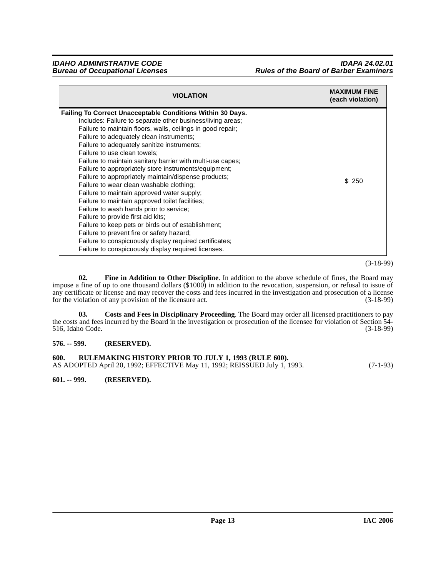| <b>VIOLATION</b>                                                                                                                                                                                                                                                                                                                                                                                                                                                                                                                                                                                                                                                                                                                                                                                                                                                                                                                                      | <b>MAXIMUM FINE</b><br>(each violation) |
|-------------------------------------------------------------------------------------------------------------------------------------------------------------------------------------------------------------------------------------------------------------------------------------------------------------------------------------------------------------------------------------------------------------------------------------------------------------------------------------------------------------------------------------------------------------------------------------------------------------------------------------------------------------------------------------------------------------------------------------------------------------------------------------------------------------------------------------------------------------------------------------------------------------------------------------------------------|-----------------------------------------|
| Failing To Correct Unacceptable Conditions Within 30 Days.<br>Includes: Failure to separate other business/living areas;<br>Failure to maintain floors, walls, ceilings in good repair;<br>Failure to adequately clean instruments;<br>Failure to adequately sanitize instruments;<br>Failure to use clean towels:<br>Failure to maintain sanitary barrier with multi-use capes;<br>Failure to appropriately store instruments/equipment;<br>Failure to appropriately maintain/dispense products;<br>Failure to wear clean washable clothing:<br>Failure to maintain approved water supply;<br>Failure to maintain approved toilet facilities;<br>Failure to wash hands prior to service;<br>Failure to provide first aid kits:<br>Failure to keep pets or birds out of establishment;<br>Failure to prevent fire or safety hazard;<br>Failure to conspicuously display required certificates;<br>Failure to conspicuously display required licenses. | \$250                                   |

(3-18-99)

<span id="page-12-4"></span>**02. Fine in Addition to Other Discipline**. In addition to the above schedule of fines, the Board may impose a fine of up to one thousand dollars (\$1000) in addition to the revocation, suspension, or refusal to issue of any certificate or license and may recover the costs and fees incurred in the investigation and prosecution of a license<br>for the violation of any provision of the licensure act. (3-18-99) for the violation of any provision of the licensure act.

<span id="page-12-3"></span>**03. Costs and Fees in Disciplinary Proceeding**. The Board may order all licensed practitioners to pay the costs and fees incurred by the Board in the investigation or prosecution of the licensee for violation of Section 54-<br>516, Idaho Code. (3-18-99) 516, Idaho Code.

# <span id="page-12-0"></span>**576. -- 599. (RESERVED).**

<span id="page-12-1"></span>

| 600. | RULEMAKING HISTORY PRIOR TO JULY 1, 1993 (RULE 600).                      |            |
|------|---------------------------------------------------------------------------|------------|
|      | AS ADOPTED April 20, 1992; EFFECTIVE May 11, 1992; REISSUED July 1, 1993. | $(7-1-93)$ |

<span id="page-12-2"></span>**601. -- 999. (RESERVED).**